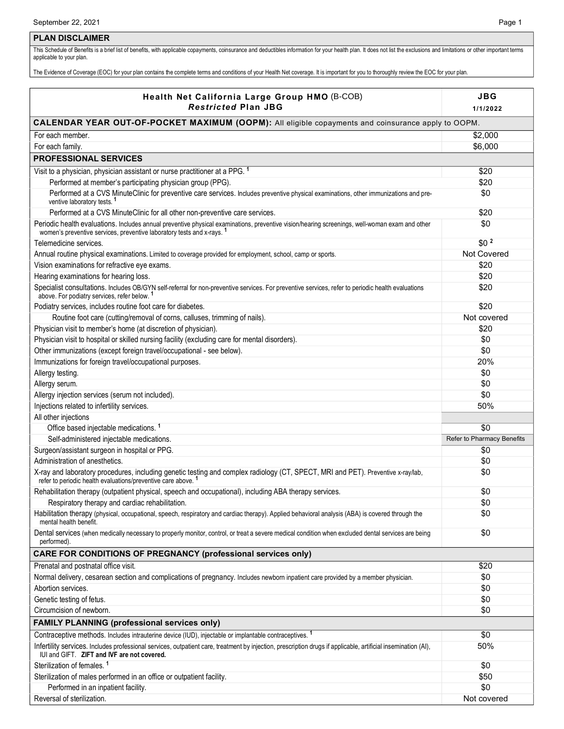### **PLAN DISCLAIMER**

This Schedule of Benefits is a brief list of benefits, with applicable copayments, coinsurance and deductibles information for your health plan. It does not list the exclusions and limitations or other important terms applicable to your plan.

The Evidence of Coverage (EOC) for your plan contains the complete terms and conditions of your Health Net coverage. It is important for you to thoroughly review the EOC for your plan.

| Health Net California Large Group HMO (B-COB)                                                                                                                                                                                       | JBG                        |  |
|-------------------------------------------------------------------------------------------------------------------------------------------------------------------------------------------------------------------------------------|----------------------------|--|
| <b>Restricted Plan JBG</b>                                                                                                                                                                                                          | 1/1/2022                   |  |
| CALENDAR YEAR OUT-OF-POCKET MAXIMUM (OOPM): All eligible copayments and coinsurance apply to OOPM.                                                                                                                                  |                            |  |
| For each member.                                                                                                                                                                                                                    | \$2,000                    |  |
| For each family.                                                                                                                                                                                                                    | \$6,000                    |  |
| <b>PROFESSIONAL SERVICES</b>                                                                                                                                                                                                        |                            |  |
| Visit to a physician, physician assistant or nurse practitioner at a PPG. <sup>1</sup>                                                                                                                                              | \$20                       |  |
| Performed at member's participating physician group (PPG).                                                                                                                                                                          | \$20                       |  |
| Performed at a CVS MinuteClinic for preventive care services. Includes preventive physical examinations, other immunizations and pre-<br>ventive laboratory tests. <sup>1</sup>                                                     | \$0                        |  |
| Performed at a CVS MinuteClinic for all other non-preventive care services.                                                                                                                                                         | \$20                       |  |
| Periodic health evaluations. Includes annual preventive physical examinations, preventive vision/hearing screenings, well-woman exam and other<br>women's preventive services, preventive laboratory tests and x-rays. <sup>1</sup> | \$0                        |  |
| Telemedicine services.                                                                                                                                                                                                              | \$0 <sup>2</sup>           |  |
| Annual routine physical examinations. Limited to coverage provided for employment, school, camp or sports.                                                                                                                          | Not Covered                |  |
| Vision examinations for refractive eye exams.                                                                                                                                                                                       | \$20                       |  |
| Hearing examinations for hearing loss.                                                                                                                                                                                              | \$20                       |  |
| Specialist consultations. Includes OB/GYN self-referral for non-preventive services. For preventive services, refer to periodic health evaluations above. For podiatry services, refer below. <sup>1</sup>                          | \$20                       |  |
| Podiatry services, includes routine foot care for diabetes.                                                                                                                                                                         | \$20                       |  |
| Routine foot care (cutting/removal of corns, calluses, trimming of nails).                                                                                                                                                          | Not covered                |  |
| Physician visit to member's home (at discretion of physician).                                                                                                                                                                      | \$20                       |  |
| Physician visit to hospital or skilled nursing facility (excluding care for mental disorders).                                                                                                                                      | \$0                        |  |
| Other immunizations (except foreign travel/occupational - see below).                                                                                                                                                               | \$0                        |  |
| Immunizations for foreign travel/occupational purposes.                                                                                                                                                                             | 20%                        |  |
| Allergy testing.                                                                                                                                                                                                                    | \$0                        |  |
| Allergy serum.                                                                                                                                                                                                                      | \$0                        |  |
| Allergy injection services (serum not included).                                                                                                                                                                                    | \$0                        |  |
| Injections related to infertility services.                                                                                                                                                                                         | 50%                        |  |
| All other injections                                                                                                                                                                                                                |                            |  |
| Office based injectable medications. <sup>1</sup>                                                                                                                                                                                   | \$0                        |  |
| Self-administered injectable medications.                                                                                                                                                                                           | Refer to Pharmacy Benefits |  |
| Surgeon/assistant surgeon in hospital or PPG.<br>Administration of anesthetics.                                                                                                                                                     | \$0                        |  |
| X-ray and laboratory procedures, including genetic testing and complex radiology (CT, SPECT, MRI and PET). Preventive x-ray/lab,                                                                                                    | \$0<br>\$0                 |  |
| refer to periodic health evaluations/preventive care above. <sup>1</sup>                                                                                                                                                            |                            |  |
| Rehabilitation therapy (outpatient physical, speech and occupational), including ABA therapy services.                                                                                                                              | \$0                        |  |
| Respiratory therapy and cardiac rehabilitation.                                                                                                                                                                                     | \$0                        |  |
| Habilitation therapy (physical, occupational, speech, respiratory and cardiac therapy). Applied behavioral analysis (ABA) is covered through the<br>mental health benefit.                                                          | \$0                        |  |
| Dental services (when medically necessary to properly monitor, control, or treat a severe medical condition when excluded dental services are being<br>performed).                                                                  | \$0                        |  |
| <b>CARE FOR CONDITIONS OF PREGNANCY (professional services only)</b>                                                                                                                                                                |                            |  |
| Prenatal and postnatal office visit.                                                                                                                                                                                                | \$20                       |  |
| Normal delivery, cesarean section and complications of pregnancy. Includes newborn inpatient care provided by a member physician.                                                                                                   | \$0                        |  |
| Abortion services.                                                                                                                                                                                                                  | \$0                        |  |
| Genetic testing of fetus.                                                                                                                                                                                                           | \$0                        |  |
| Circumcision of newborn.                                                                                                                                                                                                            | \$0                        |  |
| <b>FAMILY PLANNING (professional services only)</b>                                                                                                                                                                                 |                            |  |
| Contraceptive methods. Includes intrauterine device (IUD), injectable or implantable contraceptives. <sup>1</sup>                                                                                                                   | \$0                        |  |
| Infertility services. Includes professional services, outpatient care, treatment by injection, prescription drugs if applicable, artificial insemination (AI),<br>IUI and GIFT. ZIFT and IVF are not covered.                       | 50%                        |  |
| Sterilization of females. <sup>1</sup>                                                                                                                                                                                              | \$0                        |  |
| Sterilization of males performed in an office or outpatient facility.                                                                                                                                                               | \$50                       |  |
| Performed in an inpatient facility.                                                                                                                                                                                                 | \$0                        |  |
| Reversal of sterilization.                                                                                                                                                                                                          | Not covered                |  |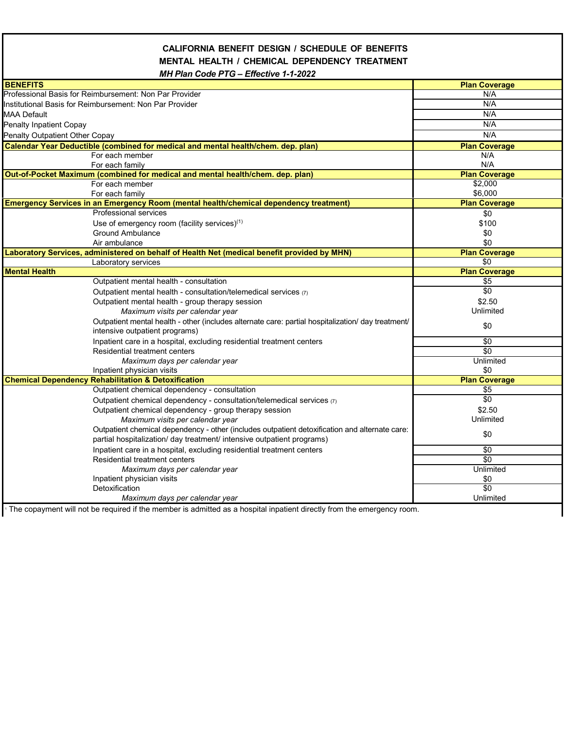## **CALIFORNIA BENEFIT DESIGN / SCHEDULE OF BENEFITS MENTAL HEALTH / CHEMICAL DEPENDENCY TREATMENT**  *MH Plan Code PTG – Effective 1-1-2022*

| <b>BENEFITS</b>                                                                                    | <b>Plan Coverage</b> |
|----------------------------------------------------------------------------------------------------|----------------------|
| Professional Basis for Reimbursement: Non Par Provider                                             | N/A                  |
| Institutional Basis for Reimbursement: Non Par Provider                                            | N/A                  |
| MAA Default                                                                                        | N/A                  |
| Penalty Inpatient Copay                                                                            | N/A                  |
| Penalty Outpatient Other Copay                                                                     | N/A                  |
| Calendar Year Deductible (combined for medical and mental health/chem. dep. plan)                  | <b>Plan Coverage</b> |
| For each member                                                                                    | N/A                  |
| For each family                                                                                    | N/A                  |
| Out-of-Pocket Maximum (combined for medical and mental health/chem. dep. plan)                     | <b>Plan Coverage</b> |
| For each member                                                                                    | \$2,000              |
| For each family                                                                                    | \$6,000              |
| Emergency Services in an Emergency Room (mental health/chemical dependency treatment)              | <b>Plan Coverage</b> |
| <b>Professional services</b>                                                                       | \$0                  |
| Use of emergency room (facility services) $(1)$                                                    | \$100                |
| <b>Ground Ambulance</b>                                                                            | \$0                  |
| Air ambulance                                                                                      | \$0                  |
| Laboratory Services, administered on behalf of Health Net (medical benefit provided by MHN)        | <b>Plan Coverage</b> |
| Laboratory services                                                                                | \$0                  |
| <b>Mental Health</b>                                                                               | <b>Plan Coverage</b> |
| Outpatient mental health - consultation                                                            | \$5                  |
| Outpatient mental health - consultation/telemedical services (7)                                   | \$0                  |
| Outpatient mental health - group therapy session                                                   | \$2.50               |
| Maximum visits per calendar year                                                                   | Unlimited            |
| Outpatient mental health - other (includes alternate care: partial hospitalization/ day treatment/ | \$0                  |
| intensive outpatient programs)                                                                     |                      |
| Inpatient care in a hospital, excluding residential treatment centers                              | $\overline{50}$      |
| Residential treatment centers                                                                      | \$0                  |
| Maximum days per calendar year                                                                     | Unlimited            |
| Inpatient physician visits                                                                         | \$0                  |
| <b>Chemical Dependency Rehabilitation &amp; Detoxification</b>                                     | <b>Plan Coverage</b> |
| Outpatient chemical dependency - consultation                                                      | \$5                  |
| Outpatient chemical dependency - consultation/telemedical services (7)                             | \$0                  |
| Outpatient chemical dependency - group therapy session                                             | \$2.50               |
| Maximum visits per calendar year                                                                   | Unlimited            |
| Outpatient chemical dependency - other (includes outpatient detoxification and alternate care:     | \$0                  |
| partial hospitalization/ day treatment/ intensive outpatient programs)                             |                      |
| Inpatient care in a hospital, excluding residential treatment centers                              | \$0                  |
| Residential treatment centers                                                                      | \$0                  |
| Maximum days per calendar year                                                                     | Unlimited            |
| Inpatient physician visits                                                                         | \$0                  |
| Detoxification                                                                                     | \$0                  |
| Maximum days per calendar year                                                                     | Unlimited            |

1 The copayment will not be required if the member is admitted as a hospital inpatient directly from the emergency room.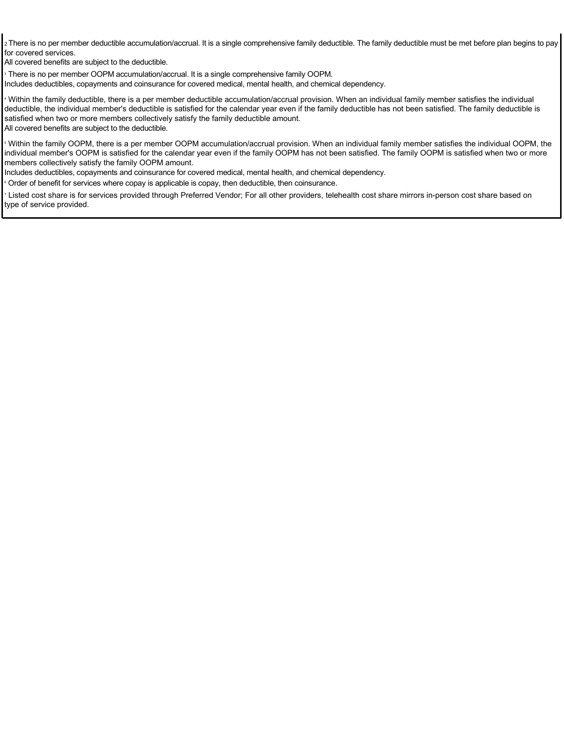2 There is no per member deductible accumulation/accrual. It is a single comprehensive family deductible. The family deductible must be met before plan begins to pay for covered services.

All covered benefits are subject to the deductible.

3 There is no per member OOPM accumulation/accrual. It is a single comprehensive family OOPM. Includes deductibles, copayments and coinsurance for covered medical, mental health, and chemical dependency.

4 Within the family deductible, there is a per member deductible accumulation/accrual provision. When an individual family member satisfies the individual deductible, the individual member's deductible is satisfied for the calendar year even if the family deductible has not been satisfied. The family deductible is satisfied when two or more members collectively satisfy the family deductible amount. All covered benefits are subject to the deductible.

 $\,$  Within the family OOPM, there is a per member OOPM accumulation/accrual provision. When an individual family member satisfies the individual OOPM, the individual member's OOPM is satisfied for the calendar year even if the family OOPM has not been satisfied. The family OOPM is satisfied when two or more members collectively satisfy the family OOPM amount.

Includes deductibles, copayments and coinsurance for covered medical, mental health, and chemical dependency.

**Drder of benefit for services where copay is applicable is copay, then deductible, then coinsurance.** 

7 Listed cost share is for services provided through Preferred Vendor; For all other providers, telehealth cost share mirrors in-person cost share based on type of service provided.